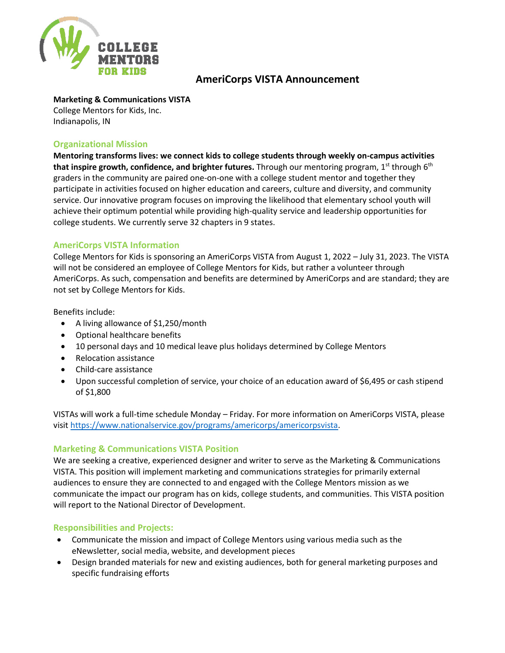

# **AmeriCorps VISTA Announcement**

### **Marketing & Communications VISTA**

College Mentors for Kids, Inc. Indianapolis, IN

### **Organizational Mission**

**Mentoring transforms lives: we connect kids to college students through weekly on-campus activities that inspire growth, confidence, and brighter futures.** Through our mentoring program, 1<sup>st</sup> through 6<sup>th</sup> graders in the community are paired one-on-one with a college student mentor and together they participate in activities focused on higher education and careers, culture and diversity, and community service. Our innovative program focuses on improving the likelihood that elementary school youth will achieve their optimum potential while providing high-quality service and leadership opportunities for college students. We currently serve 32 chapters in 9 states.

## **AmeriCorps VISTA Information**

College Mentors for Kids is sponsoring an AmeriCorps VISTA from August 1, 2022 – July 31, 2023. The VISTA will not be considered an employee of College Mentors for Kids, but rather a volunteer through AmeriCorps. As such, compensation and benefits are determined by AmeriCorps and are standard; they are not set by College Mentors for Kids.

Benefits include:

- A living allowance of \$1,250/month
- Optional healthcare benefits
- 10 personal days and 10 medical leave plus holidays determined by College Mentors
- Relocation assistance
- Child-care assistance
- Upon successful completion of service, your choice of an education award of \$6,495 or cash stipend of \$1,800

VISTAs will work a full-time schedule Monday – Friday. For more information on AmeriCorps VISTA, please visit [https://www.nationalservice.gov/programs/americorps/americorpsvista.](https://www.nationalservice.gov/programs/americorps/americorpsvista)

## **Marketing & Communications VISTA Position**

We are seeking a creative, experienced designer and writer to serve as the Marketing & Communications VISTA. This position will implement marketing and communications strategies for primarily external audiences to ensure they are connected to and engaged with the College Mentors mission as we communicate the impact our program has on kids, college students, and communities. This VISTA position will report to the National Director of Development.

### **Responsibilities and Projects:**

- Communicate the mission and impact of College Mentors using various media such as the eNewsletter, social media, website, and development pieces
- Design branded materials for new and existing audiences, both for general marketing purposes and specific fundraising efforts